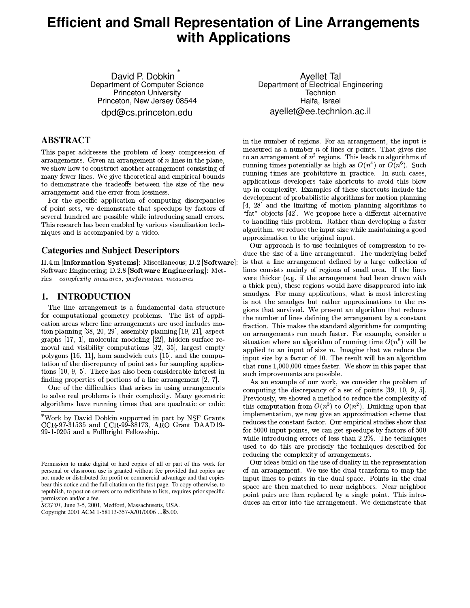# **Efficient and Small Representation of Line Arrangements** with Applications

David P. Dobkin Department of Computer Science **Princeton University** Princeton, New Jersey 08544 dpd@cs.princeton.edu

**Ayellet Tal** Department of Electrical Engineering Technion Haifa, Israel ayellet@ee.technion.ac.il

# **ABSTRACT**

This paper addresses the problem of lossy compression of arrangements. Given an arrangement of  $n$  lines in the plane. we show how to construct another arrangement consisting of many fewer lines. We give theoretical and empirical bounds to demonstrate the tradeoffs between the size of the new arrangement and the error from lossiness.

For the specific application of computing discrepancies of point sets, we demonstrate that speedups by factors of several hundred are possible while introducing small errors. This research has been enabled by various visualization techniques and is accompanied by a video.

## **Categories and Subject Descriptors**

H.4.m [Information Systems]: Miscellaneous; D.2 [Software]: Software Engineering; D.2.8 [Software Engineering]: Metrics-complexity measures, performance measures

#### **INTRODUCTION** 1.

The line arrangement is a fundamental data structure for computational geometry problems. The list of application areas where line arrangements are used includes motion planning [38, 20, 29], assembly planning [19, 21], aspect graphs [17, 1], molecular modeling [22], hidden surface removal and visibility computations [32, 35], largest empty polygons [16, 11], ham sandwich cuts [15], and the computation of the discrepancy of point sets for sampling applications [10, 9, 5]. There has also been considerable interest in finding properties of portions of a line arrangement  $[2, 7]$ .

One of the difficulties that arises in using arrangements to solve real problems is their complexity. Many geometric algorithms have running times that are quadratic or cubic

Copyright 2001 ACM 1-58113-357-X/01/0006 ... \$5.00.

in the number of regions. For an arrangement, the input is measured as a number  $n$  of lines or points. That gives rise to an arrangement of  $n^2$  regions. This leads to algorithms of running times potentially as high as  $O(n^4)$  or  $O(n^6)$ . Such running times are prohibitive in practice. In such cases, applications developers take shortcuts to avoid this blow up in complexity. Examples of these shortcuts include the development of probabilistic algorithms for motion planning [4, 28] and the limiting of motion planning algorithms to "fat" objects [42]. We propose here a different alternative to handling this problem. Rather than developing a faster algorithm, we reduce the input size while maintaining a good approximation to the original input.

Our approach is to use techniques of compression to reduce the size of a line arrangement. The underlying belief is that a line arrangement defined by a large collection of lines consists mainly of regions of small area. If the lines were thicker (e.g. if the arrangement had been drawn with a thick pen), these regions would have disappeared into ink smudges. For many applications, what is most interesting is not the smudges but rather approximations to the regions that survived. We present an algorithm that reduces the number of lines defining the arrangement by a constant fraction. This makes the standard algorithms for computing on arrangements run much faster. For example, consider a situation where an algorithm of running time  $O(n^6)$  will be applied to an input of size  $n$ . Imagine that we reduce the input size by a factor of 10. The result will be an algorithm that runs 1,000,000 times faster. We show in this paper that such improvements are possible.

As an example of our work, we consider the problem of computing the discrepancy of a set of points [39, 10, 9, 5]. Previously, we showed a method to reduce the complexity of this computation from  $O(n^3)$  to  $O(n^2)$ . Building upon that implementation, we now give an approximation scheme that reduces the constant factor. Our empirical studies show that for 5000 input points, we can get speedups by factors of 500 while introducing errors of less than 2.2%. The techniques used to do this are precisely the techniques described for reducing the complexity of arrangements.

Our ideas build on the use of duality in the representation of an arrangement. We use the dual transform to map the input lines to points in the dual space. Points in the dual space are then matched to near neighbors. Near neighbor point pairs are then replaced by a single point. This introduces an error into the arrangement. We demonstrate that

<sup>\*</sup>Work by David Dobkin supported in part by NSF Grants CCR-97-31535 and CCR-99-88173, ARO Grant DAAD19-99-1-0205 and a Fullbright Fellowship.

Permission to make digital or hard copies of all or part of this work for personal or classroom use is granted without fee provided that copies are not made or distributed for profit or commercial advantage and that copies bear this notice and the full citation on the first page. To copy otherwise, to republish, to post on servers or to redistribute to lists, requires prior specific permission and/or a fee.

SCG'01. June 3-5, 2001. Medford, Massachusetts, USA.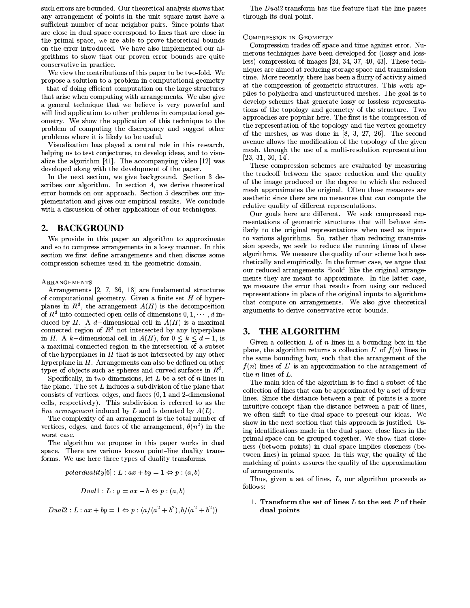such errors are bounded. Our theoretical analysis shows that any arrangement of points in the unit square must have a sufficient number of near neighbor pairs. Since points that are close in dual space correspond to lines that are close in the primal space, we are able to prove theoretical bounds on the error introduced. We have also implemented our algorithms to show that our proven error bounds are quite conservative in practice.

We view the contributions of this paper to be two-fold. We propose a solution to a problem in computational geometry - that of doing efficient computation on the large structures that arise when computing with arrangements. We also give a general technique that we believe is very powerful and will find application to other problems in computational geometry. We show the application of this technique to the problem of computing the discrepancy and suggest other problems where it is likely to be useful.

Visualization has played a central role in this research, helping us to test conjectures, to develop ideas, and to visualize the algorithm [41]. The accompanying video [12] was developed along with the development of the paper.

In the next section, we give background. Section 3 describes our algorithm. In section 4, we derive theoretical error bounds on our approach. Section 5 describes our implementation and gives our empirical results. We conclude with a discussion of other applications of our techniques.

#### $2.$ **BACKGROUND**

We provide in this paper an algorithm to approximate and so to compress arrangements in a lossy manner. In this section we first define arrangements and then discuss some compression schemes used in the geometric domain.

ARRANGEMENTS

Arrangements [2, 7, 36, 18] are fundamental structures of computational geometry. Given a finite set  $H$  of hyperplanes in  $R^d$ , the arrangement  $A(H)$  is the decomposition of  $R^d$  into connected open cells of dimensions  $0, 1, \dots, d$  induced by H. A d-dimensional cell in  $A(H)$  is a maximal connected region of  $R^d$  not intersected by any hyperplane in H. A k-dimensional cell in  $A(H)$ , for  $0 \le k \le d-1$ , is a maximal connected region in the intersection of a subset of the hyperplanes in  $H$  that is not intersected by any other hyperplane in  $H$ . Arrangements can also be defined on other types of objects such as spheres and curved surfaces in  $R^d$ .

Specifically, in two dimensions, let  $L$  be a set of  $n$  lines in the plane. The set L induces a subdivision of the plane that consists of vertices, edges, and faces (0, 1 and 2 dimensional cells, respectively). This subdivision is referred to as the line arrangement induced by L and is denoted by  $A(L)$ .

The complexity of an arrangement is the total number of vertices, edges, and faces of the arrangement,  $\theta(n^2)$  in the worst case.

The algorithm we propose in this paper works in dual space. There are various known point-line duality transforms. We use here three types of duality transforms.

$$
polar duality[6]: L: ax + by = 1 \Leftrightarrow p:(a, b)
$$

$$
Dual1: L: y = ax - b \Leftrightarrow p: (a, b)
$$

 $Dual2: L: ax + by = 1 \Leftrightarrow p: (a/(a^2 + b^2), b/(a^2 + b^2))$ 

The *Dual2* transform has the feature that the line passes through its dual point.

### COMPRESSION IN GEOMETRY

Compression trades off space and time against error. Numerous techniques have been developed for (lossy and lossless) compression of images  $[24, 34, 37, 40, 43]$ . These techniques are aimed at reducing storage space and transmission time. More recently, there has been a flurry of activity aimed at the compression of geometric structures. This work applies to polyhedra and unstructured meshes. The goal is to develop schemes that generate lossy or lossless representations of the topology and geometry of the structure. Two approaches are popular here. The first is the compression of the representation of the topology and the vertex geometry of the meshes, as was done in  $[8, 3, 27, 26]$ . The second avenue allows the modification of the topology of the given mesh, through the use of a multi-resolution representation  $[23, 31, 30, 14]$ .

These compression schemes are evaluated by measuring the tradeoff between the space reduction and the quality of the image produced or the degree to which the reduced mesh approximates the original. Often these measures are aesthetic since there are no measures that can compute the relative quality of different representations.

Our goals here are different. We seek compressed representations of geometric structures that will behave similarly to the original representations when used as inputs to various algorithms. So, rather than reducing transmission speeds, we seek to reduce the running times of these algorithms. We measure the quality of our scheme both aesthetically and empirically. In the former case, we argue that our reduced arrangements "look" like the original arrangements they are meant to approximate. In the latter case, we measure the error that results from using our reduced representations in place of the original inputs to algorithms that compute on arrangements. We also give theoretical arguments to derive conservative error bounds.

#### **THE ALGORITHM** 3.

Given a collection  $L$  of  $n$  lines in a bounding box in the plane, the algorithm returns a collection  $L'$  of  $f(n)$  lines in the same bounding box, such that the arrangement of the  $f(n)$  lines of L' is an approximation to the arrangement of the  $n$  lines of  $L$ .

The main idea of the algorithm is to find a subset of the collection of lines that can be approximated by a set of fewer lines. Since the distance between a pair of points is a more intuitive concept than the distance between a pair of lines, we often shift to the dual space to present our ideas. We show in the next section that this approach is justified. Using identifications made in the dual space, close lines in the primal space can be grouped together. We show that closeness (between points) in dual space implies closeness (between lines) in primal space. In this way, the quality of the matching of points assures the quality of the approximation of arrangements.

Thus, given a set of lines,  $L$ , our algorithm proceeds as follows:

### 1. Transform the set of lines  $L$  to the set  $P$  of their dual points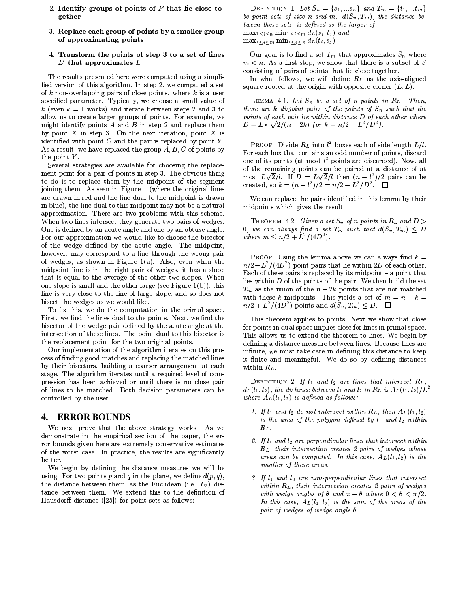- 2. Identify groups of points of  $P$  that lie close together
- 3. Replace each group of points by a smaller group of approximating points
- 4. Transform the points of step 3 to a set of lines  $L'$  that approximates  $L$

The results presented here were computed using a simplified version of this algorithm. In step 2, we computed a set of  $k$  non-overlapping pairs of close points, where  $k$  is a user specified parameter. Typically, we choose a small value of k (even  $k = 1$  works) and iterate between steps 2 and 3 to allow us to create larger groups of points. For example, we might identify points  $A$  and  $B$  in step 2 and replace them by point  $X$  in step 3. On the next iteration, point  $X$  is identified with point  $C$  and the pair is replaced by point  $Y$ . As a result, we have replaced the group  $A, B, C$  of points by the point  $Y$ .

Several strategies are available for choosing the replacement point for a pair of points in step 3. The obvious thing to do is to replace them by the midpoint of the segment joining them. As seen in Figure 1 (where the original lines are drawn in red and the line dual to the midpoint is drawn in blue), the line dual to this midpoint may not be a natural approximation. There are two problems with this scheme. When two lines intersect they generate two pairs of wedges. One is defined by an acute angle and one by an obtuse angle. For our approximation we would like to choose the bisector of the wedge defined by the acute angle. The midpoint, however, may correspond to a line through the wrong pair of wedges, as shown in Figure  $1(a)$ . Also, even when the midpoint line is in the right pair of wedges, it has a slope that is equal to the average of the other two slopes. When one slope is small and the other large (see Figure  $1(b)$ ), this line is very close to the line of large slope, and so does not bisect the wedges as we would like.

To fix this, we do the computation in the primal space. First, we find the lines dual to the points. Next, we find the bisector of the wedge pair defined by the acute angle at the intersection of these lines. The point dual to this bisector is the replacement point for the two original points.

Our implementation of the algorithm iterates on this process of finding good matches and replacing the matched lines by their bisectors, building a coarser arrangement at each stage. The algorithm iterates until a required level of compression has been achieved or until there is no close pair of lines to be matched. Both decision parameters can be controlled by the user.

### **4. ERROR BOUNDS**

We next prove that the above strategy works. As we demonstrate in the empirical section of the paper, the error bounds given here are extremely conservative estimates of the worst case. In practice, the results are significantly better.

We begin by defining the distance measures we will be using. For two points p and q in the plane, we define  $d(p, q)$ , the distance between them, as the Euclidean (i.e.  $L_2$ ) distance between them. We extend this to the definition of Hausdorff distance  $(25)$  for point sets as follows:

DEFINITION 1. Let  $S_n = \{s_1, ... s_n\}$  and  $T_m = \{t_1, ... t_m\}$ be point sets of size n and m.  $d(S_n, T_m)$ , the distance between these sets, is defined as the larger of  $\max_{1 \leq i \leq n} \min_{1 \leq j \leq m} d_L(s_i, t_j)$  and  $\max_{1 \leq i \leq m} \min_{1 \leq j \leq n} d_L(t_i, s_j)$ 

Our goal is to find a set  $T_m$  that approximates  $S_n$  where  $m < n$ . As a first step, we show that there is a subset of S consisting of pairs of points that lie close together.

In what follows, we will define  $R_L$  as the axis-aligned square rooted at the origin with opposite corner  $(L, L)$ .

LEMMA 4.1. Let  $S_n$  be a set of n points in  $R_L$ . Then, there are k disjoint pairs of the points of  $S_n$  such that the points of each pair lie within distance D of each other where  $D = L * \sqrt{2/(n-2k)}$  (or  $k = n/2 - L^2/D^2$ ).

**PROOF.** Divide  $R_L$  into  $l^2$  boxes each of side length  $L/l$ . For each box that contains an odd number of points, discard one of its points (at most  $l^2$  points are discarded). Now, all of the remaining points can be paired at a distance of at most  $L\sqrt{2}/l$ . If  $D = L\sqrt{2}/l$  then  $(n - l^2)/2$  pairs can be created, so  $k = (n - l^2)/2 = n/2 - L^2/D^2$ .  $\Box$ 

We can replace the pairs identified in this lemma by their midpoints which gives the result:

THEOREM 4.2. Given a set  $S_n$  of n points in  $R_L$  and  $D >$ 0, we can always find a set  $T_m$  such that  $d(S_n, T_m) \le D$ where  $m \le n/2 + L^2/(4D^2)$ .

**PROOF.** Using the lemma above we can always find  $k =$  $n/2 - L^2/(4D^2)$  point pairs that lie within 2D of each other. Each of these pairs is replaced by its midpoint  $-$  a point that lies within D of the points of the pair. We then build the set  $T_m$  as the union of the  $n-2k$  points that are not matched with these k midpoints. This yields a set of  $m = n - k$  $n/2 + L^2/(4D^2)$  points and  $d(S_n, T_m) \leq D$ .  $\Box$ 

This theorem applies to points. Next we show that close for points in dual space implies close for lines in primal space. This allows us to extend the theorem to lines. We begin by defining a distance measure between lines. Because lines are infinite, we must take care in defining this distance to keep it finite and meaningful. We do so by defining distances within  $R_L$ .

DEFINITION 2. If  $l_1$  and  $l_2$  are lines that intersect  $R_L$ ,  $d_L(l_1, l_2)$ , the distance between  $l_1$  and  $l_2$  in  $R_L$  is  $A_L(l_1, l_2)/L^2$ where  $A_L(l_1, l_2)$  is defined as follows:

- 1. If  $l_1$  and  $l_2$  do not intersect within  $R_L$ , then  $A_L(l_1, l_2)$ is the area of the polygon defined by  $l_1$  and  $l_2$  within  $R_L$
- 2. If  $l_1$  and  $l_2$  are perpendicular lines that intersect within  $R_L$ , their intersection creates 2 pairs of wedges whose areas can be computed. In this case,  $A_L(l_1, l_2)$  is the smaller of these areas.
- 3. If  $l_1$  and  $l_2$  are non-perpendicular lines that intersect within  $R_L$ , their intersection creates 2 pairs of wedges with wedge angles of  $\theta$  and  $\pi - \theta$  where  $0 < \theta < \pi/2$ . In this case,  $A_L(l_1, l_2)$  is the sum of the areas of the pair of wedges of wedge angle  $\theta$ .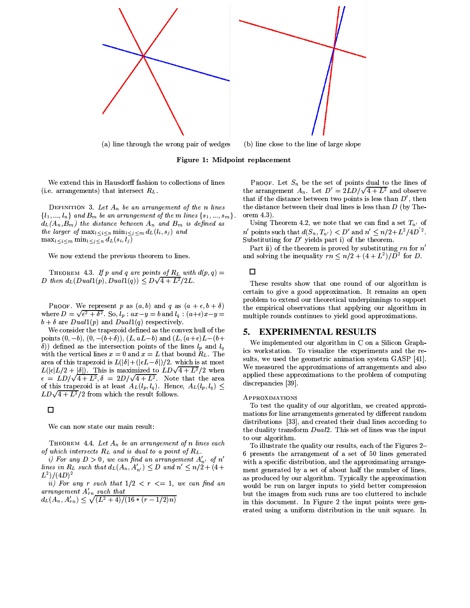



(a) line through the wrong pair of wedges

(b) line close to the line of large slope



We extend this in Hausdorff fashion to collections of lines (i.e. arrangements) that intersect  $R_L$ .

DEFINITION 3. Let  $A_n$  be an arrangement of the n lines  $\{l_1, ..., l_n\}$  and  $B_m$  be an arrangement of the m lines  $\{s_1, ..., s_m\}$ .  $d_L(A_n, B_m)$  the distance between  $A_n$  and  $B_m$  is defined as the larger of  $\max_{1 \leq i \leq n} \min_{1 \leq j \leq m} d_L(l_i, s_j)$  and  $\max_{1 \leq i \leq m} \min_{1 \leq j \leq n} d_L(s_i, l_j)$ 

We now extend the previous theorem to lines.

THEOREM 4.3. If p and q are points of  $R_L$  with  $d(p,q) =$ D then  $d_L(Dual1(p), Dual1(q)) \leq D\sqrt{4+L^2}/2L$ .

PROOF. We represent p as  $(a, b)$  and q as  $(a + \epsilon, b + \delta)$ where  $D = \sqrt{\epsilon^2 + \delta^2}$ . So,  $l_p : ax - y = b$  and  $l_q : (a + \epsilon)x - y =$  $b + \delta$  are  $Dual1(p)$  and  $Dual1(q)$  respectively.

We consider the trapezoid defined as the convex hull of the points  $(0, -b)$ ,  $(0, -(b+\delta))$ ,  $(L, aL-b)$  and  $(L, (a+\epsilon)L-(b+\epsilon))$  $\delta$ ) defined as the intersection points of the lines  $l_p$  and  $l_q$ with the vertical lines  $x = 0$  and  $x = L$  that bound  $R_L$ . The area of this trapezoid is  $L(|\delta| + (|\epsilon L - \delta|)/2$ . which is at most  $L(|\epsilon|L/2 + |\delta|)$ . This is maximized to  $LD\sqrt{4 + L^2}/2$  when  $\epsilon = LD/\sqrt{4+L^2}$ ,  $\delta = 2D/\sqrt{4+L^2}$ . Note that the area of this trapezoid is at least  $A_L(l_p, l_q)$ . Hence,  $A_L(l_p, l_q) \leq$  $LD\sqrt{4+L^2}/2$  from which the result follows.

 $\Box$ 

We can now state our main result:

THEOREM 4.4. Let  $A_n$  be an arrangement of n lines each of which intersects  $R_L$  and is dual to a point of  $R_L$ .

i) For any  $D > 0$ , we can find an arrangement  $A'_{n'}$  of n' lines in  $R_L$  such that  $d_L(A_n, A'_{n'}) \leq D$  and  $n' \leq n/2 + (4 +$  $L^2)/(4D)^2$ 

ii) For any r such that  $1/2 < r < 1$ , we can find an arrangement  $A'_{rn}$  such that

$$
d_L(A_n, A'_{rn}) \leq \sqrt{(L^2 + 4)/(16 * (r - 1/2)n)}
$$

**PROOF.** Let  $S_n$  be the set of points dual to the lines of the arrangement  $A_n$ . Let  $D' = 2LD/\sqrt{4 + L^2}$  and observe that if the distance between two points is less than  $D'$ , then the distance between their dual lines is less than  $D$  (by Theorem  $4.3$ ).

Using Theorem 4.2, we note that we can find a set  $T_{n'}$  of n' points such that  $d(S_n, T_{n'}) < D'$  and  $n' \leq n/2 + L^2/4D^{'2}$ . Substituting for  $D'$  yields part i) of the theorem.

Part ii) of the theorem is proved by substituting  $rn$  for  $n'$ and solving the inequality  $rn \leq n/2 + (4 + L^2)/D^2$  for D.

 $\Box$ 

These results show that one round of our algorithm is certain to give a good approximation. It remains an open problem to extend our theoretical underpinnings to support the empirical observations that applying our algorithm in multiple rounds continues to yield good approximations.

#### **EXPERIMENTAL RESULTS** 5.

We implemented our algorithm in C on a Silicon Graphics workstation. To visualize the experiments and the results, we used the geometric animation system GASP [41]. We measured the approximations of arrangements and also applied these approximations to the problem of computing discrepancies [39].

### APPROXIMATIONS

To test the quality of our algorithm, we created approximations for line arrangements generated by different random distributions [33], and created their dual lines according to the duality transform  $Dual2$ . This set of lines was the input to our algorithm.

To illustrate the quality our results, each of the Figures 2-6 presents the arrangement of a set of 50 lines generated with a specific distribution, and the approximating arrangement generated by a set of about half the number of lines, as produced by our algorithm. Typically the approximation would be run on larger inputs to yield better compression but the images from such runs are too cluttered to include in this document. In Figure 2 the input points were generated using a uniform distribution in the unit square. In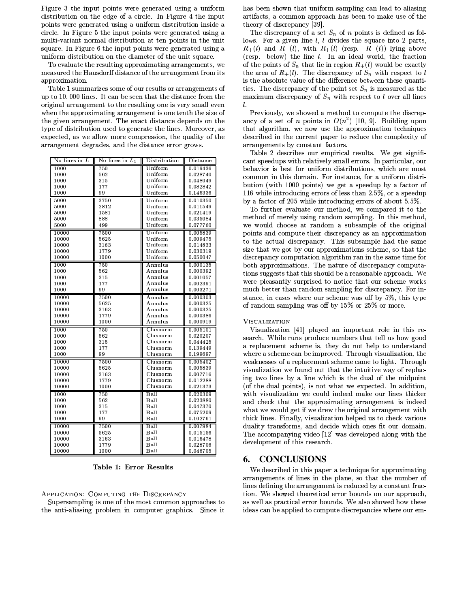Figure 3 the input points were generated using a uniform distribution on the edge of a circle. In Figure 4 the input points were generated using a uniform distribution inside a circle. In Figure 5 the input points were generated using a multi-variant normal distribution at ten points in the unit square. In Figure 6 the input points were generated using a uniform distribution on the diameter of the unit square.

To evaluate the resulting approximating arrangements, we measured the Hausdorff distance of the arrangement from its approximation.

Table 1 summarizes some of our results or arrangements of up to 10,000 lines. It can be seen that the distance from the original arrangement to the resulting one is very small even when the approximating arrangement is one tenth the size of the given arrangement. The exact distance depends on the type of distribution used to generate the lines. Moreover, as expected, as we allow more compression, the quality of the arrangement degrades, and the distance error grows.

| $\overline{\text{No}}$ lines in $L$ | No lines in $L_1$ | Distribution                         | Distance |  |
|-------------------------------------|-------------------|--------------------------------------|----------|--|
| 1000                                | 750               | Uniform                              | 0.019436 |  |
| 1000                                | 562               | Uniform                              | 0.028740 |  |
| 1000                                | 315               | Uniform                              | 0.048049 |  |
| 1000                                | 177               | Uniform                              | 0.082842 |  |
| 1000                                | 99                | Uniform                              | 0.146336 |  |
| 5000                                | 3750              | Uniform                              | 0.010350 |  |
| 5000                                | 2812              | Uniform                              | 0.011549 |  |
| 5000                                | 1581              | Uniform                              | 0.021419 |  |
| 5000                                | 888               | Uniform                              | 0.035084 |  |
| 5000                                | 499               | Uniform                              | 0.077760 |  |
| 10000                               | 7500              | Uniform                              | 0.005839 |  |
| 10000                               | 5625              | Uniform                              | 0.009475 |  |
| 10000                               | 3163              | Uniform                              | 0.014833 |  |
| 10000                               | 1779              | Uniform                              | 0.030319 |  |
| 10000                               | 1000              | Uniform                              | 0.050047 |  |
| 1000                                | 750               | Annulus                              | 0.000135 |  |
| 1000                                | 562               | Annulus                              | 0.000392 |  |
| 1000                                | 315               | Annulus                              | 0.001057 |  |
| 1000                                | 177               | Annulus                              | 0.002391 |  |
| 1000                                | 99                | Annulus                              | 0.003271 |  |
| 10000                               | 7500              | Annulus                              | 0.000303 |  |
| 10000                               | 5625              | Annulus                              | 0.000325 |  |
| 10000                               | 3163              | Annulus                              | 0.000325 |  |
| 10000                               | 1779              | Annulus                              | 0.000386 |  |
| 10000                               | 1000              | Annulus                              | 0.000919 |  |
| 1000                                | 750               | $\overline{\text{C}}\text{I}$ usnorm | 0.005101 |  |
| 1000                                | 562               | Clusnorm                             | 0.020207 |  |
| 1000                                | 315               | Clusnorm                             | 0.044425 |  |
| 1000                                | 177               | Clusnorm                             | 0.139449 |  |
| 1000                                | 99                | Clusnorm                             | 0.199697 |  |
| 10000                               | 7500              | $\overline{\text{Clusnorm}}$         | 0.005402 |  |
| 10000                               | 5625              | Clusnorm                             | 0.005839 |  |
| 10000                               | 3163              | Clusnorm                             | 0.007716 |  |
| 10000                               | 1779              | Clusnorm                             | 0.012288 |  |
| 10000                               | 1000              | Clusnorm                             | 0.021373 |  |
| 1000                                | 750               | Ball                                 | 0.020309 |  |
| 1000                                | 562               | Ball                                 | 0.023880 |  |
| 1000                                | 315               | Ball                                 | 0.047370 |  |
| 1000                                | 177               | Ball                                 | 0.075209 |  |
| 1000                                | 99                | Ball                                 | 0.102761 |  |
| 10000                               | 7500              | Ball                                 | 0.007984 |  |
| 10000                               | 5625              | Ball                                 | 0.015156 |  |
| 10000                               | 3163              | Ball                                 | 0.016478 |  |
| 10000                               | 1779              | Ball                                 | 0.028706 |  |
| 10000                               | 1000              | Ball                                 | 0.046705 |  |

Table 1: Error Results

APPLICATION: COMPUTING THE DISCREPANCY

Supersampling is one of the most common approaches to the anti-aliasing problem in computer graphics. Since it

has been shown that uniform sampling can lead to aliasing artifacts, a common approach has been to make use of the theory of discrepancy [39].

The discrepancy of a set  $S_n$  of n points is defined as follows. For a given line  $l, l$  divides the square into 2 parts,  $R_+(l)$  and  $R_-(l)$ , with  $R_+(l)$  (resp.  $R_-(l)$ ) lying above  $({\rm resp.~ below})$  the line l. In an ideal world, the fraction of the points of  $S_n$  that lie in region  $R_{+}(l)$  would be exactly the area of  $R_+(l)$ . The discrepancy of  $S_n$  with respect to l is the absolute value of the difference between these quantities. The discrepancy of the point set  $S_n$  is measured as the maximum discrepancy of  $S_n$  with respect to l over all lines  $\iota$ 

Previously, we showed a method to compute the discrepancy of a set of *n* points in  $O(n^2)$  [10, 9]. Building upon that algorithm, we now use the approximation techniques described in the current paper to reduce the complexity of arrangements by constant factors.

Table 2 describes our empirical results. We get significant speedups with relatively small errors. In particular, our behavior is best for uniform distributions, which are most common in this domain. For instance, for a uniform distribution (with 1000 points) we get a speedup by a factor of 116 while introducing errors of less than 2.5%, or a speedup by a factor of 205 while introducing errors of about 5.5%.

To further evaluate our method, we compared it to the method of merely using random sampling. In this method, we would choose at random a subsample of the original points and compute their discrepancy as an approximation to the actual discrepancy. This subsample had the same size that we got by our approximations scheme, so that the discrepancy computation algorithm ran in the same time for both approximations. The nature of discrepancy computations suggests that this should be a reasonable approach. We were pleasantly surprised to notice that our scheme works much better than random sampling for discrepancy. For instance, in cases where our scheme was off by 5%, this type of random sampling was off by 15% or 25% or more.

### **VISUALIZATION**

Visualization [41] played an important role in this research. While runs produce numbers that tell us how good a replacement scheme is, they do not help to understand where a scheme can be improved. Through visualization, the weaknesses of a replacement scheme came to light. Through visualization we found out that the intuitive way of replacing two lines by a line which is the dual of the midpoint (of the dual points), is not what we expected. In addition, with visualization we could indeed make our lines thicker and check that the approximating arrangement is indeed what we would get if we drew the original arrangement with thick lines. Finally, visualization helped us to check various duality transforms, and decide which ones fit our domain. The accompanying video [12] was developed along with the development of this research.

#### **CONCLUSIONS** 6.

We described in this paper a technique for approximating arrangements of lines in the plane, so that the number of lines defining the arrangement is reduced by a constant fraction. We showed theoretical error bounds on our approach, as well as practical error bounds. We also showed how these ideas can be applied to compute discrepancies where our em-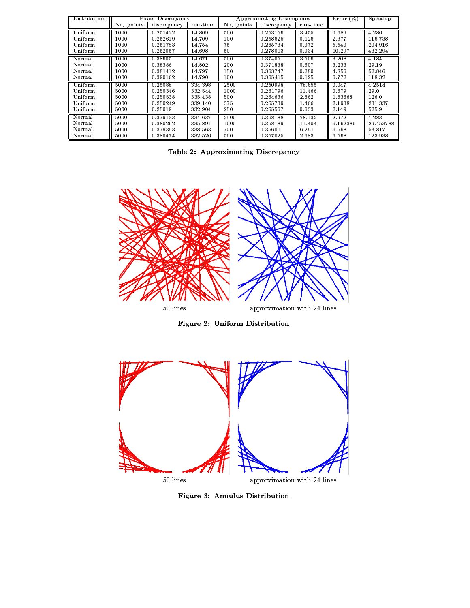| Distribution | Exact Discrepancy |             | Approximating Discrepancy |            | Error $(\%)$ | Speedup  |          |           |
|--------------|-------------------|-------------|---------------------------|------------|--------------|----------|----------|-----------|
|              | No. points        | discrepancy | run-time                  | No. points | discrepancy  | run-time |          |           |
| Uniform      | 1000              | 0.251422    | 14.809                    | 500        | 0.253156     | 3.455    | 0.689    | 4.286     |
| Uniform      | 1000              | 0.252619    | 14.709                    | 100        | 0.258625     | 0.126    | 2.377    | 116.738   |
| Uniform      | 1000              | 0.251783    | 14.754                    | 75         | 0.265734     | 0.072    | 5.540    | 204.916   |
| Uniform      | 1000              | 0.252057    | 14.698                    | 50         | 0.278013     | 0.034    | 10.297   | 432.294   |
| Normal       | 1000              | 0.38605     | 14.671                    | 500        | 0.37405      | 3.506    | 3.208    | 4.184     |
| Normal       | 1000              | 0.38386     | 14.802                    | 200        | 0.371838     | 0.507    | 3.233    | 29.19     |
| Normal       | 1000              | 0.381412    | 14.797                    | 150        | 0.363747     | 0.280    | 4.856    | 52.846    |
| Normal       | 1000              | 0.390162    | 14.790                    | 100        | 0.365415     | 0.125    | 6.772    | 118.32    |
| Uniform      | 5000              | 0.25088     | 334.398                   | 2500       | 0.250998     | 78.655   | 0.047    | 4.2514    |
| Uniform      | 5000              | 0.250346    | 332.544                   | 1000       | 0.251796     | 11.466   | 0.579    | 29.0      |
| Uniform      | 5000              | 0.250538    | 335.438                   | 500        | 0.254636     | 2.662    | 1.63568  | 126.0     |
| Uniform      | 5000              | 0.250249    | 339.140                   | 375        | 0.255739     | 1.466    | 2.1938   | 231.337   |
| Uniform      | 5000              | 0.25019     | 332.904                   | 250        | 0.255567     | 0.633    | 2.149    | 525.9     |
| Normal       | 5000              | 0.379133    | 334.637                   | 2500       | 0.368188     | 78.132   | 2.972    | 4.283     |
| Normal       | 5000              | 0.380262    | 335.891                   | 1000       | 0.358189     | 11.404   | 6.162389 | 29.453788 |
| Normal       | 5000              | 0.379393    | 338.563                   | 750        | 0.35601      | 6.291    | 6.568    | 53.817    |
| Normal       | 5000              | 0.380474    | 332.526                   | 500        | 0.357025     | 2.683    | 6.568    | 123.938   |

|  | Table 2: Approximating Discrepancy |  |
|--|------------------------------------|--|
|--|------------------------------------|--|



Figure 2: Uniform Distribution



Figure 3: Annulus Distribution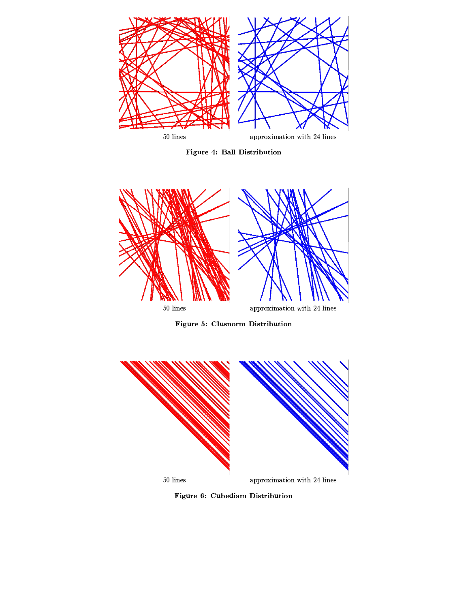

Figure 4: Ball Distribution



Figure 5: Clusnorm Distribution



Figure 6: Cubediam Distribution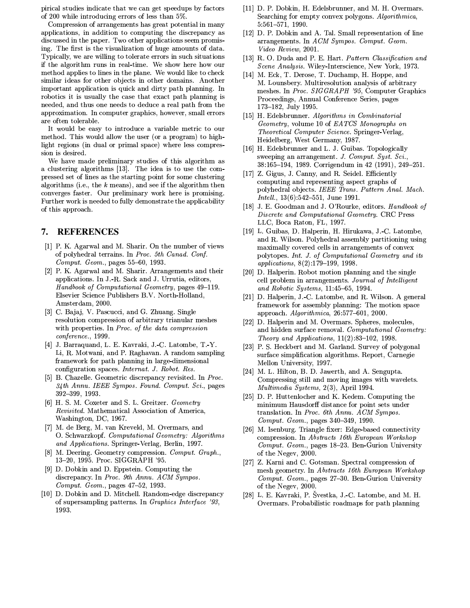pirical studies indicate that we can get speedups by factors of 200 while introducing errors of less than 5%.

Compression of arrangements has great potential in many applications, in addition to computing the discrepancy as discussed in the paper. Two other applications seem promising. The first is the visualization of huge amounts of data. Typically, we are willing to tolerate errors in such situations if the algorithm runs in real-time. We show here how our method applies to lines in the plane. We would like to check similar ideas for other objects in other domains. Another important application is quick and dirty path planning. In robotics it is usually the case that exact path planning is needed, and thus one needs to deduce a real path from the approximation. In computer graphics, however, small errors are often tolerable.

It would be easy to introduce a variable metric to our method. This would allow the user (or a program) to highlight regions (in dual or primal space) where less compression is desired.

We have made preliminary studies of this algorithm as a clustering algorithms [13]. The idea is to use the compressed set of lines as the starting point for some clustering algorithms (i.e., the  $k$  means), and see if the algorithm then converges faster. Our preliminary work here is promising. Further work is needed to fully demonstrate the applicability of this approach.

### **REFERENCES** 7.

- [1] P. K. Agarwal and M. Sharir. On the number of views of polyhedral terrains. In Proc. 5th Canad. Conf. Comput. Geom., pages 55-60, 1993.
- [2] P. K. Agarwal and M. Sharir. Arrangements and their applications. In J. R. Sack and J. Urrutia, editors, Handbook of Computational Geometry, pages 49-119. Elsevier Science Publishers B.V. North-Holland, Amsterdam, 2000.
- [3] C. Bajaj, V. Pascucci, and G. Zhuang. Single resolution compression of arbitrary trianular meshes with properties. In Proc. of the data compression conference., 1999.
- [4] J. Barraquand, L. E. Kavraki, J.-C. Latombe, T.-Y. Li, R. Motwani, and P. Raghavan. A random sampling framework for path planning in large-dimensional configuration spaces. Internat. J. Robot. Res.
- [5] B. Chazelle. Geometric discrepancy revisited. In Proc. 34th Annu. IEEE Sympos. Found. Comput. Sci., pages  $392 - 399, 1993$
- [6] H. S. M. Coxeter and S. L. Greitzer. Geometry *Revisited* Mathematical Association of America. Washington, DC, 1967.
- [7] M. de Berg, M. van Kreveld, M. Overmars, and O. Schwarzkopf. Computational Geometry: Algorithms and Applications. Springer-Verlag, Berlin, 1997.
- [8] M. Deering. Geometry compression. Comput. Graph., 13-20, 1995. Proc. SIGGRAPH '95.
- [9] D. Dobkin and D. Eppstein. Computing the discrepancy. In Proc. 9th Annu. ACM Sympos. Comput. Geom., pages 47-52, 1993.
- [10] D. Dobkin and D. Mitchell. Random-edge discrepancy of supersampling patterns. In Graphics Interface '93, 1993.
- [11] D. P. Dobkin, H. Edelsbrunner, and M. H. Overmars. Searching for empty convex polygons. Algorithmica,  $5:561 - 571$ , 1990.
- [12] D. P. Dobkin and A. Tal. Small representation of line arrangements. In ACM Sympos. Comput. Geom. Video Review, 2001.
- [13] R. O. Duda and P. E. Hart. Pattern Classification and Scene Analysis. Wiley-Interscience, New York, 1973.
- [14] M. Eck, T. Derose, T. Duchamp, H. Hoppe, and M. Lounsbery. Multiresolution analysis of arbitrary meshes. In Proc. SIGGRAPH '95, Computer Graphics Proceedings, Annual Conference Series, pages  $173-182$ , July 1995.
- [15] H. Edelsbrunner. Algorithms in Combinatorial Geometry, volume 10 of EATCS Monographs on Theoretical Computer Science. Springer-Verlag. Heidelberg, West Germany, 1987.
- [16] H. Edelsbrunner and L. J. Guibas. Topologically sweeping an arrangement. J. Comput. Syst. Sci., 38:165-194, 1989. Corrigendum in 42 (1991), 249-251.
- [17] Z. Gigus, J. Canny, and R. Seidel. Efficiently computing and representing aspect graphs of polyhedral objects. IEEE Trans. Pattern Anal. Mach.  $Intell., 13(6):542-551,$  June 1991.
- [18] J. E. Goodman and J. O'Rourke, editors. Handbook of Discrete and Computational Geometry. CRC Press LLC, Boca Raton, FL, 1997.
- [19] L. Guibas, D. Halperin, H. Hirukawa, J.-C. Latombe, and R. Wilson. Polyhedral assembly partitioning using maximally covered cells in arrangements of convex polytopes. Int. J. of Computational Geometry and its applications, 8(2):179-199, 1998.
- [20] D. Halperin. Robot motion planning and the single cell problem in arrangements. Journal of Intelligent and Robotic Systems,  $11:45-65$ , 1994.
- [21] D. Halperin, J. C. Latombe, and R. Wilson. A general framework for assembly planning: The motion space approach.  $Algorithmica$ , 26:577-601, 2000.
- [22] D. Halperin and M. Overmars. Spheres, molecules, and hidden surface removal. Computational Geometry: Theory and Applications,  $11(2):83-102$ , 1998.
- [23] P. S. Heckbert and M. Garland. Survey of polygonal surface simplification algorithms. Report, Carnegie Mellon University, 1997.
- [24] M. L. Hilton, B. D. Jawerth, and A. Sengupta. Compressing still and moving images with wavelets. Multimedia Systems, 2(3), April 1994.
- [25] D. P. Huttenlocher and K. Kedem. Computing the minimum Hausdorff distance for point sets under translation. In Proc. 6th Annu. ACM Sympos.  $Comput. Geom.$  pages 340-349, 1990.
- [26] M. Isenburg. Triangle fixer: Edge-based connectivity compression. In Abstracts 16th European Workshop Comput. Geom., pages 18-23. Ben-Gurion University of the Negev, 2000.
- [27] Z. Karni and C. Gotsman. Spectral compression of mesh geometry. In Abstracts 16th European Workshop Comput. Geom., pages 27-30. Ben-Gurion University of the Negev, 2000.
- [28] L. E. Kavraki, P. Švestka, J.-C. Latombe, and M. H. Overmars. Probabilistic roadmaps for path planning